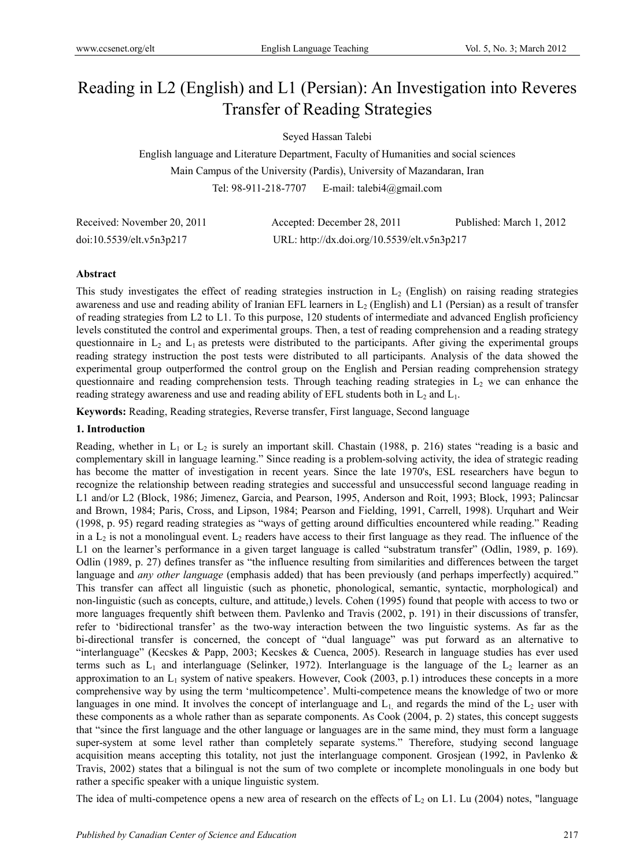# Reading in L2 (English) and L1 (Persian): An Investigation into Reveres Transfer of Reading Strategies

Seyed Hassan Talebi

English language and Literature Department, Faculty of Humanities and social sciences Main Campus of the University (Pardis), University of Mazandaran, Iran Tel: 98-911-218-7707 E-mail: talebi4@gmail.com

| Received: November 20, 2011 | Accepted: December 28, 2011                 | Published: March 1, 2012 |
|-----------------------------|---------------------------------------------|--------------------------|
| doi:10.5539/elt.v5n3p217    | URL: http://dx.doi.org/10.5539/elt.v5n3p217 |                          |

# **Abstract**

This study investigates the effect of reading strategies instruction in  $L<sub>2</sub>$  (English) on raising reading strategies awareness and use and reading ability of Iranian EFL learners in  $L_2$  (English) and L1 (Persian) as a result of transfer of reading strategies from L2 to L1. To this purpose, 120 students of intermediate and advanced English proficiency levels constituted the control and experimental groups. Then, a test of reading comprehension and a reading strategy questionnaire in  $L_2$  and  $L_1$  as pretests were distributed to the participants. After giving the experimental groups reading strategy instruction the post tests were distributed to all participants. Analysis of the data showed the experimental group outperformed the control group on the English and Persian reading comprehension strategy questionnaire and reading comprehension tests. Through teaching reading strategies in  $L<sub>2</sub>$  we can enhance the reading strategy awareness and use and reading ability of EFL students both in  $L_2$  and  $L_1$ .

**Keywords:** Reading, Reading strategies, Reverse transfer, First language, Second language

#### **1. Introduction**

Reading, whether in  $L_1$  or  $L_2$  is surely an important skill. Chastain (1988, p. 216) states "reading is a basic and complementary skill in language learning." Since reading is a problem-solving activity, the idea of strategic reading has become the matter of investigation in recent years. Since the late 1970's, ESL researchers have begun to recognize the relationship between reading strategies and successful and unsuccessful second language reading in L1 and/or L2 (Block, 1986; Jimenez, Garcia, and Pearson, 1995, Anderson and Roit, 1993; Block, 1993; Palincsar and Brown, 1984; Paris, Cross, and Lipson, 1984; Pearson and Fielding, 1991, Carrell, 1998). Urquhart and Weir (1998, p. 95) regard reading strategies as "ways of getting around difficulties encountered while reading." Reading in a  $L_2$  is not a monolingual event.  $L_2$  readers have access to their first language as they read. The influence of the L1 on the learner's performance in a given target language is called "substratum transfer" (Odlin, 1989, p. 169). Odlin (1989, p. 27) defines transfer as "the influence resulting from similarities and differences between the target language and *any other language* (emphasis added) that has been previously (and perhaps imperfectly) acquired." This transfer can affect all linguistic (such as phonetic, phonological, semantic, syntactic, morphological) and non-linguistic (such as concepts, culture, and attitude,) levels. Cohen (1995) found that people with access to two or more languages frequently shift between them. Pavlenko and Travis (2002, p. 191) in their discussions of transfer, refer to 'bidirectional transfer' as the two-way interaction between the two linguistic systems. As far as the bi-directional transfer is concerned, the concept of "dual language" was put forward as an alternative to "interlanguage" (Kecskes & Papp, 2003; Kecskes & Cuenca, 2005). Research in language studies has ever used terms such as  $L_1$  and interlanguage (Selinker, 1972). Interlanguage is the language of the  $L_2$  learner as an approximation to an  $L_1$  system of native speakers. However, Cook (2003, p.1) introduces these concepts in a more comprehensive way by using the term 'multicompetence'. Multi-competence means the knowledge of two or more languages in one mind. It involves the concept of interlanguage and  $L_1$ , and regards the mind of the  $L_2$  user with these components as a whole rather than as separate components. As Cook (2004, p. 2) states, this concept suggests that "since the first language and the other language or languages are in the same mind, they must form a language super-system at some level rather than completely separate systems." Therefore, studying second language acquisition means accepting this totality, not just the interlanguage component. Grosjean (1992, in Pavlenko & Travis, 2002) states that a bilingual is not the sum of two complete or incomplete monolinguals in one body but rather a specific speaker with a unique linguistic system.

The idea of multi-competence opens a new area of research on the effects of  $L_2$  on L1. Lu (2004) notes, "language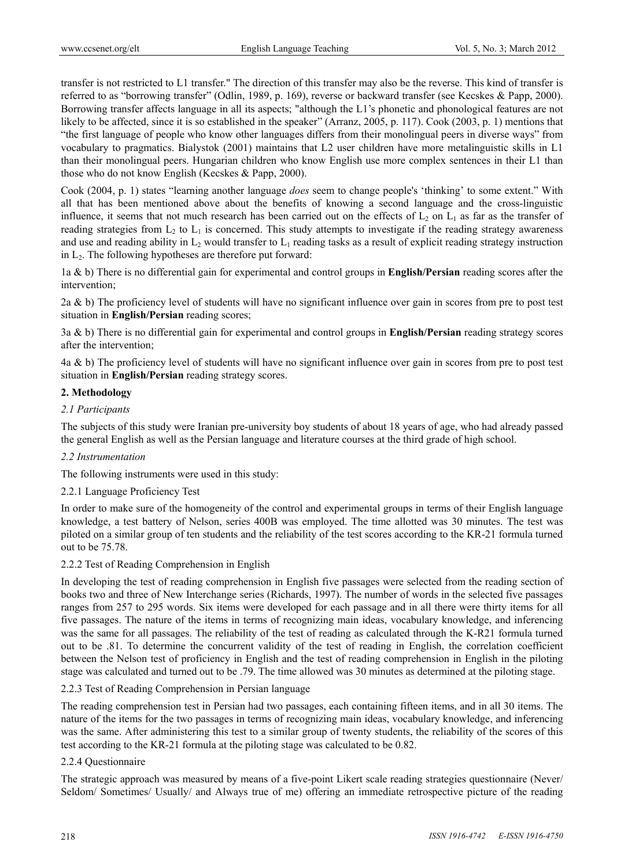transfer is not restricted to L1 transfer." The direction of this transfer may also be the reverse. This kind of transfer is referred to as "borrowing transfer" (Odlin, 1989, p. 169), reverse or backward transfer (see Kecskes & Papp, 2000). Borrowing transfer affects language in all its aspects; "although the L1's phonetic and phonological features are not likely to be affected, since it is so established in the speaker" (Arranz, 2005, p. 117). Cook (2003, p. 1) mentions that "the first language of people who know other languages differs from their monolingual peers in diverse ways" from vocabulary to pragmatics. Bialystok (2001) maintains that L2 user children have more metalinguistic skills in L1 than their monolingual peers. Hungarian children who know English use more complex sentences in their L1 than those who do not know English (Kecskes & Papp, 2000).

Cook (2004, p. 1) states "learning another language *does* seem to change people's 'thinking' to some extent." With all that has been mentioned above about the benefits of knowing a second language and the cross-linguistic influence, it seems that not much research has been carried out on the effects of  $L_2$  on  $L_1$  as far as the transfer of reading strategies from  $L_2$  to  $L_1$  is concerned. This study attempts to investigate if the reading strategy awareness and use and reading ability in  $L_2$  would transfer to  $L_1$  reading tasks as a result of explicit reading strategy instruction in  $L_2$ . The following hypotheses are therefore put forward:

1a & b) There is no differential gain for experimental and control groups in **English/Persian** reading scores after the intervention;

2a & b) The proficiency level of students will have no significant influence over gain in scores from pre to post test situation in **English/Persian** reading scores;

3a & b) There is no differential gain for experimental and control groups in **English/Persian** reading strategy scores after the intervention;

4a & b) The proficiency level of students will have no significant influence over gain in scores from pre to post test situation in **English/Persian** reading strategy scores.

# **2. Methodology**

# *2.1 Participants*

The subjects of this study were Iranian pre-university boy students of about 18 years of age, who had already passed the general English as well as the Persian language and literature courses at the third grade of high school.

# *2.2 Instrumentation*

The following instruments were used in this study:

# 2.2.1 Language Proficiency Test

In order to make sure of the homogeneity of the control and experimental groups in terms of their English language knowledge, a test battery of Nelson, series 400B was employed. The time allotted was 30 minutes. The test was piloted on a similar group of ten students and the reliability of the test scores according to the KR-21 formula turned out to be 75.78.

# 2.2.2 Test of Reading Comprehension in English

In developing the test of reading comprehension in English five passages were selected from the reading section of books two and three of New Interchange series (Richards, 1997). The number of words in the selected five passages ranges from 257 to 295 words. Six items were developed for each passage and in all there were thirty items for all five passages. The nature of the items in terms of recognizing main ideas, vocabulary knowledge, and inferencing was the same for all passages. The reliability of the test of reading as calculated through the K-R21 formula turned out to be .81. To determine the concurrent validity of the test of reading in English, the correlation coefficient between the Nelson test of proficiency in English and the test of reading comprehension in English in the piloting stage was calculated and turned out to be .79. The time allowed was 30 minutes as determined at the piloting stage.

# 2.2.3 Test of Reading Comprehension in Persian language

The reading comprehension test in Persian had two passages, each containing fifteen items, and in all 30 items. The nature of the items for the two passages in terms of recognizing main ideas, vocabulary knowledge, and inferencing was the same. After administering this test to a similar group of twenty students, the reliability of the scores of this test according to the KR-21 formula at the piloting stage was calculated to be 0.82.

# 2.2.4 Questionnaire

The strategic approach was measured by means of a five-point Likert scale reading strategies questionnaire (Never/ Seldom/ Sometimes/ Usually/ and Always true of me) offering an immediate retrospective picture of the reading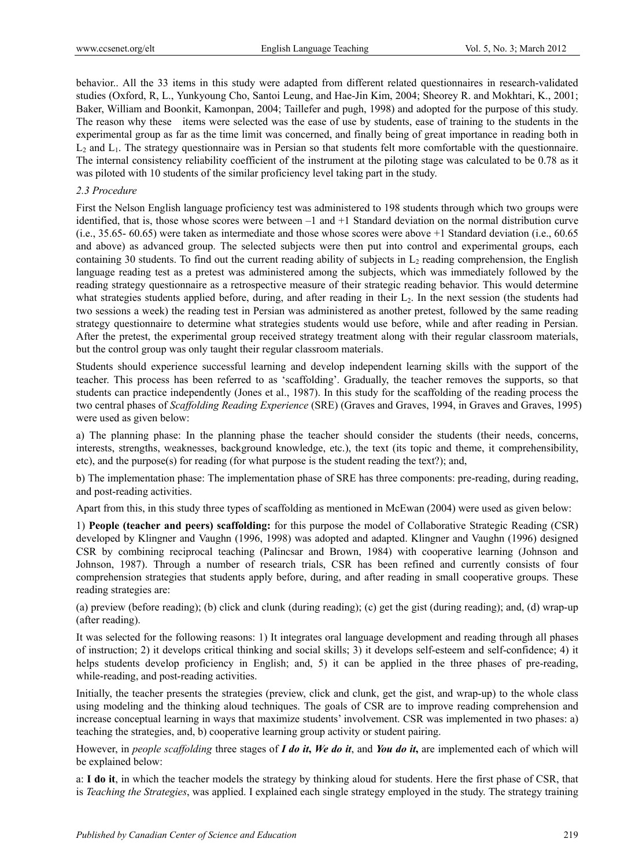behavior.. All the 33 items in this study were adapted from different related questionnaires in research-validated studies (Oxford, R, L., Yunkyoung Cho, Santoi Leung, and Hae-Jin Kim, 2004; Sheorey R. and Mokhtari, K., 2001; Baker, William and Boonkit, Kamonpan, 2004; Taillefer and pugh, 1998) and adopted for the purpose of this study. The reason why these items were selected was the ease of use by students, ease of training to the students in the experimental group as far as the time limit was concerned, and finally being of great importance in reading both in  $L<sub>2</sub>$  and  $L<sub>1</sub>$ . The strategy questionnaire was in Persian so that students felt more comfortable with the questionnaire. The internal consistency reliability coefficient of the instrument at the piloting stage was calculated to be 0.78 as it was piloted with 10 students of the similar proficiency level taking part in the study.

# *2.3 Procedure*

First the Nelson English language proficiency test was administered to 198 students through which two groups were identified, that is, those whose scores were between –1 and +1 Standard deviation on the normal distribution curve (i.e., 35.65- 60.65) were taken as intermediate and those whose scores were above +1 Standard deviation (i.e., 60.65 and above) as advanced group. The selected subjects were then put into control and experimental groups, each containing 30 students. To find out the current reading ability of subjects in  $L_2$  reading comprehension, the English language reading test as a pretest was administered among the subjects, which was immediately followed by the reading strategy questionnaire as a retrospective measure of their strategic reading behavior. This would determine what strategies students applied before, during, and after reading in their  $L_2$ . In the next session (the students had two sessions a week) the reading test in Persian was administered as another pretest, followed by the same reading strategy questionnaire to determine what strategies students would use before, while and after reading in Persian. After the pretest, the experimental group received strategy treatment along with their regular classroom materials, but the control group was only taught their regular classroom materials.

Students should experience successful learning and develop independent learning skills with the support of the teacher. This process has been referred to as 'scaffolding'. Gradually, the teacher removes the supports, so that students can practice independently (Jones et al., 1987). In this study for the scaffolding of the reading process the two central phases of *Scaffolding Reading Experience* (SRE) (Graves and Graves, 1994, in Graves and Graves, 1995) were used as given below:

a) The planning phase: In the planning phase the teacher should consider the students (their needs, concerns, interests, strengths, weaknesses, background knowledge, etc.), the text (its topic and theme, it comprehensibility, etc), and the purpose(s) for reading (for what purpose is the student reading the text?); and,

b) The implementation phase: The implementation phase of SRE has three components: pre-reading, during reading, and post-reading activities.

Apart from this, in this study three types of scaffolding as mentioned in McEwan (2004) were used as given below:

1) **People (teacher and peers) scaffolding:** for this purpose the model of Collaborative Strategic Reading (CSR) developed by Klingner and Vaughn (1996, 1998) was adopted and adapted. Klingner and Vaughn (1996) designed CSR by combining reciprocal teaching (Palincsar and Brown, 1984) with cooperative learning (Johnson and Johnson, 1987). Through a number of research trials, CSR has been refined and currently consists of four comprehension strategies that students apply before, during, and after reading in small cooperative groups. These reading strategies are:

(a) preview (before reading); (b) click and clunk (during reading); (c) get the gist (during reading); and, (d) wrap-up (after reading).

It was selected for the following reasons: 1) It integrates oral language development and reading through all phases of instruction; 2) it develops critical thinking and social skills; 3) it develops self-esteem and self-confidence; 4) it helps students develop proficiency in English; and, 5) it can be applied in the three phases of pre-reading, while-reading, and post-reading activities.

Initially, the teacher presents the strategies (preview, click and clunk, get the gist, and wrap-up) to the whole class using modeling and the thinking aloud techniques. The goals of CSR are to improve reading comprehension and increase conceptual learning in ways that maximize students' involvement. CSR was implemented in two phases: a) teaching the strategies, and, b) cooperative learning group activity or student pairing.

However, in *people scaffolding* three stages of *I do it***,** *We do it*, and *You do it***,** are implemented each of which will be explained below:

a: **I do it**, in which the teacher models the strategy by thinking aloud for students. Here the first phase of CSR, that is *Teaching the Strategies*, was applied. I explained each single strategy employed in the study. The strategy training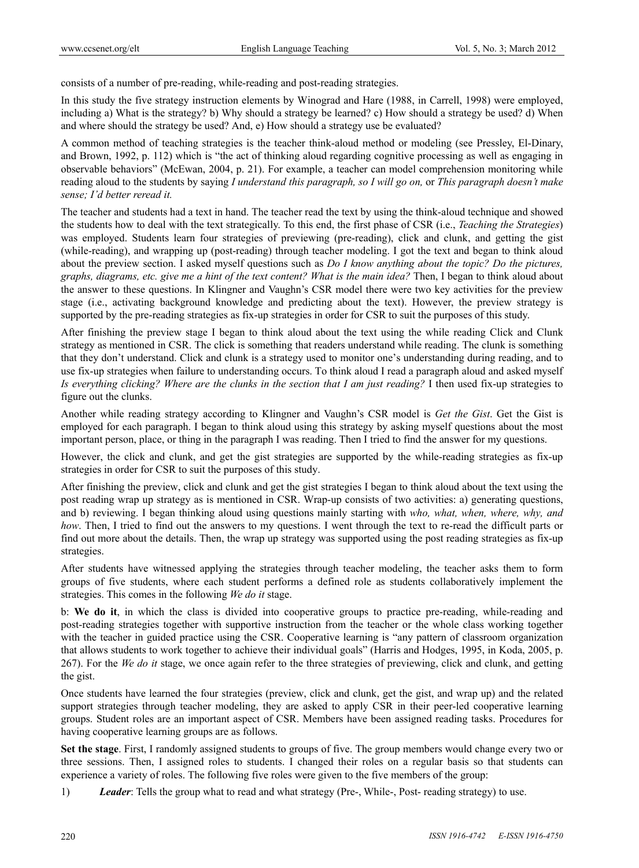consists of a number of pre-reading, while-reading and post-reading strategies.

In this study the five strategy instruction elements by Winograd and Hare (1988, in Carrell, 1998) were employed, including a) What is the strategy? b) Why should a strategy be learned? c) How should a strategy be used? d) When and where should the strategy be used? And, e) How should a strategy use be evaluated?

A common method of teaching strategies is the teacher think-aloud method or modeling (see Pressley, El-Dinary, and Brown, 1992, p. 112) which is "the act of thinking aloud regarding cognitive processing as well as engaging in observable behaviors" (McEwan, 2004, p. 21). For example, a teacher can model comprehension monitoring while reading aloud to the students by saying *I understand this paragraph, so I will go on,* or *This paragraph doesn't make sense; I'd better reread it.* 

The teacher and students had a text in hand. The teacher read the text by using the think-aloud technique and showed the students how to deal with the text strategically. To this end, the first phase of CSR (i.e., *Teaching the Strategies*) was employed. Students learn four strategies of previewing (pre-reading), click and clunk, and getting the gist (while-reading), and wrapping up (post-reading) through teacher modeling. I got the text and began to think aloud about the preview section. I asked myself questions such as *Do I know anything about the topic? Do the pictures, graphs, diagrams, etc. give me a hint of the text content? What is the main idea?* Then, I began to think aloud about the answer to these questions. In Klingner and Vaughn's CSR model there were two key activities for the preview stage (i.e., activating background knowledge and predicting about the text). However, the preview strategy is supported by the pre-reading strategies as fix-up strategies in order for CSR to suit the purposes of this study.

After finishing the preview stage I began to think aloud about the text using the while reading Click and Clunk strategy as mentioned in CSR. The click is something that readers understand while reading. The clunk is something that they don't understand. Click and clunk is a strategy used to monitor one's understanding during reading, and to use fix-up strategies when failure to understanding occurs. To think aloud I read a paragraph aloud and asked myself *Is everything clicking? Where are the clunks in the section that I am just reading?* I then used fix-up strategies to figure out the clunks.

Another while reading strategy according to Klingner and Vaughn's CSR model is *Get the Gist*. Get the Gist is employed for each paragraph. I began to think aloud using this strategy by asking myself questions about the most important person, place, or thing in the paragraph I was reading. Then I tried to find the answer for my questions.

However, the click and clunk, and get the gist strategies are supported by the while-reading strategies as fix-up strategies in order for CSR to suit the purposes of this study.

After finishing the preview, click and clunk and get the gist strategies I began to think aloud about the text using the post reading wrap up strategy as is mentioned in CSR. Wrap-up consists of two activities: a) generating questions, and b) reviewing. I began thinking aloud using questions mainly starting with *who, what, when, where, why, and how*. Then, I tried to find out the answers to my questions. I went through the text to re-read the difficult parts or find out more about the details. Then, the wrap up strategy was supported using the post reading strategies as fix-up strategies.

After students have witnessed applying the strategies through teacher modeling, the teacher asks them to form groups of five students, where each student performs a defined role as students collaboratively implement the strategies. This comes in the following *We do it* stage.

b: **We do it**, in which the class is divided into cooperative groups to practice pre-reading, while-reading and post-reading strategies together with supportive instruction from the teacher or the whole class working together with the teacher in guided practice using the CSR. Cooperative learning is "any pattern of classroom organization that allows students to work together to achieve their individual goals" (Harris and Hodges, 1995, in Koda, 2005, p. 267). For the *We do it* stage, we once again refer to the three strategies of previewing, click and clunk, and getting the gist.

Once students have learned the four strategies (preview, click and clunk, get the gist, and wrap up) and the related support strategies through teacher modeling, they are asked to apply CSR in their peer-led cooperative learning groups. Student roles are an important aspect of CSR. Members have been assigned reading tasks. Procedures for having cooperative learning groups are as follows.

**Set the stage**. First, I randomly assigned students to groups of five. The group members would change every two or three sessions. Then, I assigned roles to students. I changed their roles on a regular basis so that students can experience a variety of roles. The following five roles were given to the five members of the group:

1) *Leader*: Tells the group what to read and what strategy (Pre-, While-, Post- reading strategy) to use.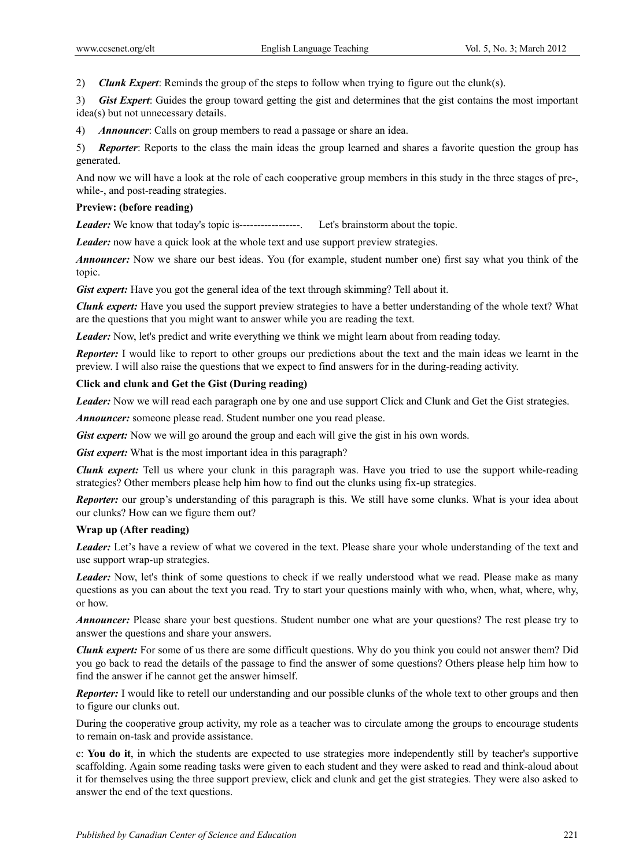2) *Clunk Expert*: Reminds the group of the steps to follow when trying to figure out the clunk(s).

3) *Gist Expert*: Guides the group toward getting the gist and determines that the gist contains the most important idea(s) but not unnecessary details.

4) *Announcer*: Calls on group members to read a passage or share an idea.

5) *Reporter*: Reports to the class the main ideas the group learned and shares a favorite question the group has generated.

And now we will have a look at the role of each cooperative group members in this study in the three stages of pre-, while-, and post-reading strategies.

#### **Preview: (before reading)**

*Leader:* We know that today's topic is-----------------. Let's brainstorm about the topic.

*Leader:* now have a quick look at the whole text and use support preview strategies.

*Announcer:* Now we share our best ideas. You (for example, student number one) first say what you think of the topic.

*Gist expert:* Have you got the general idea of the text through skimming? Tell about it.

*Clunk expert:* Have you used the support preview strategies to have a better understanding of the whole text? What are the questions that you might want to answer while you are reading the text.

*Leader:* Now, let's predict and write everything we think we might learn about from reading today.

*Reporter:* I would like to report to other groups our predictions about the text and the main ideas we learnt in the preview. I will also raise the questions that we expect to find answers for in the during-reading activity.

#### **Click and clunk and Get the Gist (During reading)**

*Leader:* Now we will read each paragraph one by one and use support Click and Clunk and Get the Gist strategies.

*Announcer:* someone please read. Student number one you read please.

*Gist expert:* Now we will go around the group and each will give the gist in his own words.

*Gist expert:* What is the most important idea in this paragraph?

*Clunk expert:* Tell us where your clunk in this paragraph was. Have you tried to use the support while-reading strategies? Other members please help him how to find out the clunks using fix-up strategies.

*Reporter:* our group's understanding of this paragraph is this. We still have some clunks. What is your idea about our clunks? How can we figure them out?

#### **Wrap up (After reading)**

*Leader:* Let's have a review of what we covered in the text. Please share your whole understanding of the text and use support wrap-up strategies.

*Leader:* Now, let's think of some questions to check if we really understood what we read. Please make as many questions as you can about the text you read. Try to start your questions mainly with who, when, what, where, why, or how.

*Announcer:* Please share your best questions. Student number one what are your questions? The rest please try to answer the questions and share your answers.

*Clunk expert:* For some of us there are some difficult questions. Why do you think you could not answer them? Did you go back to read the details of the passage to find the answer of some questions? Others please help him how to find the answer if he cannot get the answer himself.

*Reporter:* I would like to retell our understanding and our possible clunks of the whole text to other groups and then to figure our clunks out.

During the cooperative group activity, my role as a teacher was to circulate among the groups to encourage students to remain on-task and provide assistance.

c: **You do it**, in which the students are expected to use strategies more independently still by teacher's supportive scaffolding. Again some reading tasks were given to each student and they were asked to read and think-aloud about it for themselves using the three support preview, click and clunk and get the gist strategies. They were also asked to answer the end of the text questions.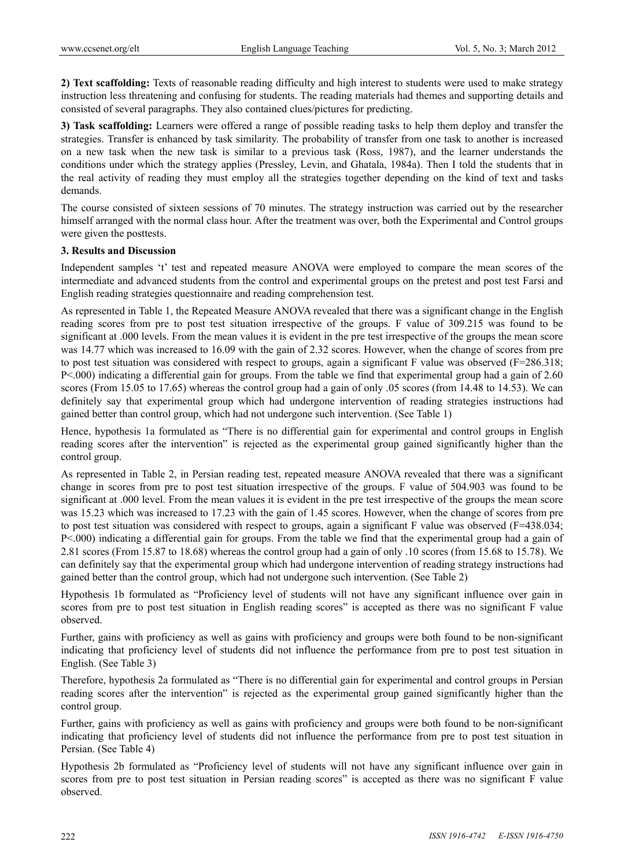**2) Text scaffolding:** Texts of reasonable reading difficulty and high interest to students were used to make strategy instruction less threatening and confusing for students. The reading materials had themes and supporting details and consisted of several paragraphs. They also contained clues/pictures for predicting.

**3) Task scaffolding:** Learners were offered a range of possible reading tasks to help them deploy and transfer the strategies. Transfer is enhanced by task similarity. The probability of transfer from one task to another is increased on a new task when the new task is similar to a previous task (Ross, 1987), and the learner understands the conditions under which the strategy applies (Pressley, Levin, and Ghatala, 1984a). Then I told the students that in the real activity of reading they must employ all the strategies together depending on the kind of text and tasks demands.

The course consisted of sixteen sessions of 70 minutes. The strategy instruction was carried out by the researcher himself arranged with the normal class hour. After the treatment was over, both the Experimental and Control groups were given the posttests.

# **3. Results and Discussion**

Independent samples 't' test and repeated measure ANOVA were employed to compare the mean scores of the intermediate and advanced students from the control and experimental groups on the pretest and post test Farsi and English reading strategies questionnaire and reading comprehension test.

As represented in Table 1, the Repeated Measure ANOVA revealed that there was a significant change in the English reading scores from pre to post test situation irrespective of the groups. F value of 309.215 was found to be significant at .000 levels. From the mean values it is evident in the pre test irrespective of the groups the mean score was 14.77 which was increased to 16.09 with the gain of 2.32 scores. However, when the change of scores from pre to post test situation was considered with respect to groups, again a significant F value was observed (F=286.318; P<.000) indicating a differential gain for groups. From the table we find that experimental group had a gain of 2.60 scores (From 15.05 to 17.65) whereas the control group had a gain of only .05 scores (from 14.48 to 14.53). We can definitely say that experimental group which had undergone intervention of reading strategies instructions had gained better than control group, which had not undergone such intervention. (See Table 1)

Hence, hypothesis 1a formulated as "There is no differential gain for experimental and control groups in English reading scores after the intervention" is rejected as the experimental group gained significantly higher than the control group.

As represented in Table 2, in Persian reading test, repeated measure ANOVA revealed that there was a significant change in scores from pre to post test situation irrespective of the groups. F value of 504.903 was found to be significant at .000 level. From the mean values it is evident in the pre test irrespective of the groups the mean score was 15.23 which was increased to 17.23 with the gain of 1.45 scores. However, when the change of scores from pre to post test situation was considered with respect to groups, again a significant F value was observed (F=438.034; P<.000) indicating a differential gain for groups. From the table we find that the experimental group had a gain of 2.81 scores (From 15.87 to 18.68) whereas the control group had a gain of only .10 scores (from 15.68 to 15.78). We can definitely say that the experimental group which had undergone intervention of reading strategy instructions had gained better than the control group, which had not undergone such intervention. (See Table 2)

Hypothesis 1b formulated as "Proficiency level of students will not have any significant influence over gain in scores from pre to post test situation in English reading scores" is accepted as there was no significant F value observed.

Further, gains with proficiency as well as gains with proficiency and groups were both found to be non-significant indicating that proficiency level of students did not influence the performance from pre to post test situation in English. (See Table 3)

Therefore, hypothesis 2a formulated as "There is no differential gain for experimental and control groups in Persian reading scores after the intervention" is rejected as the experimental group gained significantly higher than the control group.

Further, gains with proficiency as well as gains with proficiency and groups were both found to be non-significant indicating that proficiency level of students did not influence the performance from pre to post test situation in Persian. (See Table 4)

Hypothesis 2b formulated as "Proficiency level of students will not have any significant influence over gain in scores from pre to post test situation in Persian reading scores" is accepted as there was no significant F value observed.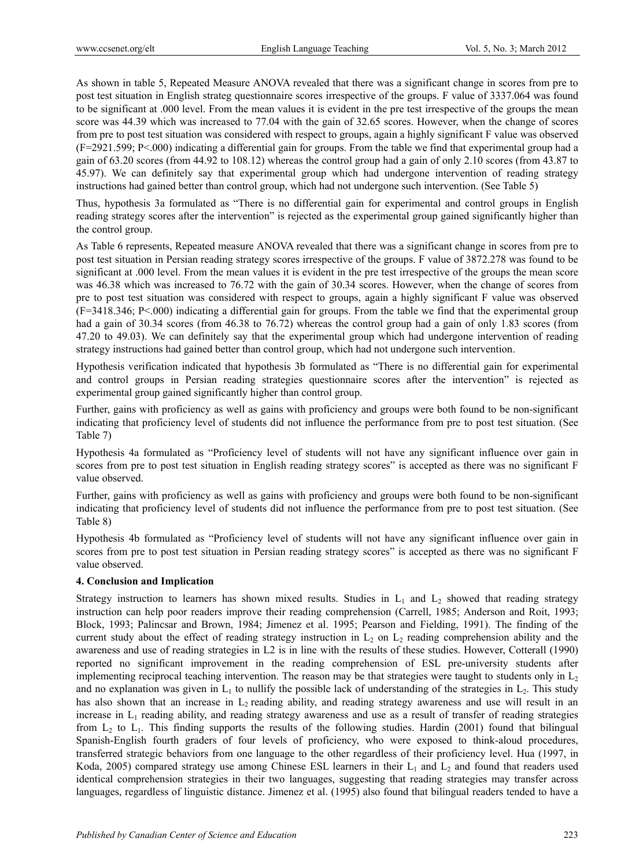As shown in table 5, Repeated Measure ANOVA revealed that there was a significant change in scores from pre to post test situation in English strateg questionnaire scores irrespective of the groups. F value of 3337.064 was found to be significant at .000 level. From the mean values it is evident in the pre test irrespective of the groups the mean score was 44.39 which was increased to 77.04 with the gain of 32.65 scores. However, when the change of scores from pre to post test situation was considered with respect to groups, again a highly significant F value was observed (F=2921.599; P<.000) indicating a differential gain for groups. From the table we find that experimental group had a gain of 63.20 scores (from 44.92 to 108.12) whereas the control group had a gain of only 2.10 scores (from 43.87 to 45.97). We can definitely say that experimental group which had undergone intervention of reading strategy instructions had gained better than control group, which had not undergone such intervention. (See Table 5)

Thus, hypothesis 3a formulated as "There is no differential gain for experimental and control groups in English reading strategy scores after the intervention" is rejected as the experimental group gained significantly higher than the control group.

As Table 6 represents, Repeated measure ANOVA revealed that there was a significant change in scores from pre to post test situation in Persian reading strategy scores irrespective of the groups. F value of 3872.278 was found to be significant at .000 level. From the mean values it is evident in the pre test irrespective of the groups the mean score was 46.38 which was increased to 76.72 with the gain of 30.34 scores. However, when the change of scores from pre to post test situation was considered with respect to groups, again a highly significant F value was observed (F=3418.346; P<.000) indicating a differential gain for groups. From the table we find that the experimental group had a gain of 30.34 scores (from 46.38 to 76.72) whereas the control group had a gain of only 1.83 scores (from 47.20 to 49.03). We can definitely say that the experimental group which had undergone intervention of reading strategy instructions had gained better than control group, which had not undergone such intervention.

Hypothesis verification indicated that hypothesis 3b formulated as "There is no differential gain for experimental and control groups in Persian reading strategies questionnaire scores after the intervention" is rejected as experimental group gained significantly higher than control group.

Further, gains with proficiency as well as gains with proficiency and groups were both found to be non-significant indicating that proficiency level of students did not influence the performance from pre to post test situation. (See Table 7)

Hypothesis 4a formulated as "Proficiency level of students will not have any significant influence over gain in scores from pre to post test situation in English reading strategy scores" is accepted as there was no significant F value observed.

Further, gains with proficiency as well as gains with proficiency and groups were both found to be non-significant indicating that proficiency level of students did not influence the performance from pre to post test situation. (See Table 8)

Hypothesis 4b formulated as "Proficiency level of students will not have any significant influence over gain in scores from pre to post test situation in Persian reading strategy scores" is accepted as there was no significant F value observed.

# **4. Conclusion and Implication**

Strategy instruction to learners has shown mixed results. Studies in  $L_1$  and  $L_2$  showed that reading strategy instruction can help poor readers improve their reading comprehension (Carrell, 1985; Anderson and Roit, 1993; Block, 1993; Palincsar and Brown, 1984; Jimenez et al. 1995; Pearson and Fielding, 1991). The finding of the current study about the effect of reading strategy instruction in  $L_2$  on  $L_2$  reading comprehension ability and the awareness and use of reading strategies in L2 is in line with the results of these studies. However, Cotterall (1990) reported no significant improvement in the reading comprehension of ESL pre-university students after implementing reciprocal teaching intervention. The reason may be that strategies were taught to students only in  $L_2$ and no explanation was given in  $L_1$  to nullify the possible lack of understanding of the strategies in  $L_2$ . This study has also shown that an increase in  $L_2$  reading ability, and reading strategy awareness and use will result in an increase in  $L_1$  reading ability, and reading strategy awareness and use as a result of transfer of reading strategies from  $L_2$  to  $L_1$ . This finding supports the results of the following studies. Hardin (2001) found that bilingual Spanish-English fourth graders of four levels of proficiency, who were exposed to think-aloud procedures, transferred strategic behaviors from one language to the other regardless of their proficiency level. Hua (1997, in Koda, 2005) compared strategy use among Chinese ESL learners in their  $L_1$  and  $L_2$  and found that readers used identical comprehension strategies in their two languages, suggesting that reading strategies may transfer across languages, regardless of linguistic distance. Jimenez et al. (1995) also found that bilingual readers tended to have a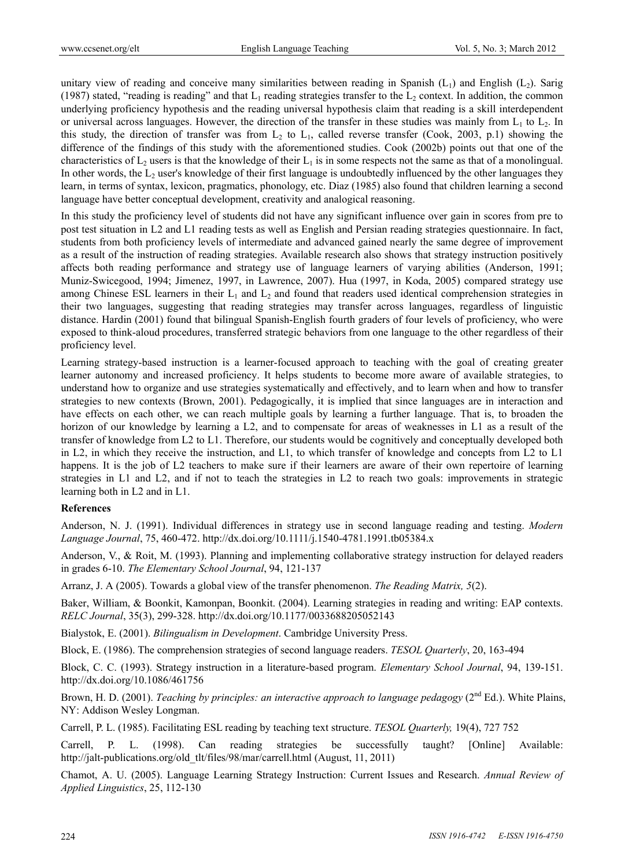unitary view of reading and conceive many similarities between reading in Spanish  $(L_1)$  and English  $(L_2)$ . Sarig (1987) stated, "reading is reading" and that  $L_1$  reading strategies transfer to the  $L_2$  context. In addition, the common underlying proficiency hypothesis and the reading universal hypothesis claim that reading is a skill interdependent or universal across languages. However, the direction of the transfer in these studies was mainly from  $L_1$  to  $L_2$ . In this study, the direction of transfer was from  $L_2$  to  $L_1$ , called reverse transfer (Cook, 2003, p.1) showing the difference of the findings of this study with the aforementioned studies. Cook (2002b) points out that one of the characteristics of  $L_2$  users is that the knowledge of their  $L_1$  is in some respects not the same as that of a monolingual. In other words, the  $L_2$  user's knowledge of their first language is undoubtedly influenced by the other languages they learn, in terms of syntax, lexicon, pragmatics, phonology, etc. Diaz (1985) also found that children learning a second language have better conceptual development, creativity and analogical reasoning.

In this study the proficiency level of students did not have any significant influence over gain in scores from pre to post test situation in L2 and L1 reading tests as well as English and Persian reading strategies questionnaire. In fact, students from both proficiency levels of intermediate and advanced gained nearly the same degree of improvement as a result of the instruction of reading strategies. Available research also shows that strategy instruction positively affects both reading performance and strategy use of language learners of varying abilities (Anderson, 1991; Muniz-Swicegood, 1994; Jimenez, 1997, in Lawrence, 2007). Hua (1997, in Koda, 2005) compared strategy use among Chinese ESL learners in their  $L_1$  and  $L_2$  and found that readers used identical comprehension strategies in their two languages, suggesting that reading strategies may transfer across languages, regardless of linguistic distance. Hardin (2001) found that bilingual Spanish-English fourth graders of four levels of proficiency, who were exposed to think-aloud procedures, transferred strategic behaviors from one language to the other regardless of their proficiency level.

Learning strategy-based instruction is a learner-focused approach to teaching with the goal of creating greater learner autonomy and increased proficiency. It helps students to become more aware of available strategies, to understand how to organize and use strategies systematically and effectively, and to learn when and how to transfer strategies to new contexts (Brown, 2001). Pedagogically, it is implied that since languages are in interaction and have effects on each other, we can reach multiple goals by learning a further language. That is, to broaden the horizon of our knowledge by learning a L2, and to compensate for areas of weaknesses in L1 as a result of the transfer of knowledge from L2 to L1. Therefore, our students would be cognitively and conceptually developed both in L2, in which they receive the instruction, and L1, to which transfer of knowledge and concepts from L2 to L1 happens. It is the job of L2 teachers to make sure if their learners are aware of their own repertoire of learning strategies in L1 and L2, and if not to teach the strategies in L2 to reach two goals: improvements in strategic learning both in L2 and in L1.

#### **References**

Anderson, N. J. (1991). Individual differences in strategy use in second language reading and testing. *Modern Language Journal*, 75, 460-472. http://dx.doi.org/10.1111/j.1540-4781.1991.tb05384.x

Anderson, V., & Roit, M. (1993). Planning and implementing collaborative strategy instruction for delayed readers in grades 6-10. *The Elementary School Journal*, 94, 121-137

Arranz, J. A (2005). Towards a global view of the transfer phenomenon. *The Reading Matrix, 5*(2).

Baker, William, & Boonkit, Kamonpan, Boonkit. (2004). Learning strategies in reading and writing: EAP contexts. *RELC Journal*, 35(3), 299-328. http://dx.doi.org/10.1177/0033688205052143

Bialystok, E. (2001). *Bilingualism in Development*. Cambridge University Press.

Block, E. (1986). The comprehension strategies of second language readers. *TESOL Quarterly*, 20, 163-494

Block, C. C. (1993). Strategy instruction in a literature-based program. *Elementary School Journal*, 94, 139-151. http://dx.doi.org/10.1086/461756

Brown, H. D. (2001). *Teaching by principles: an interactive approach to language pedagogy* (2<sup>nd</sup> Ed.). White Plains, NY: Addison Wesley Longman.

Carrell, P. L. (1985). Facilitating ESL reading by teaching text structure. *TESOL Quarterly,* 19(4), 727 752

Carrell, P. L. (1998). Can reading strategies be successfully taught? [Online] Available: http://jalt-publications.org/old\_tlt/files/98/mar/carrell.html (August, 11, 2011)

Chamot, A. U. (2005). Language Learning Strategy Instruction: Current Issues and Research. *Annual Review of Applied Linguistics*, 25, 112-130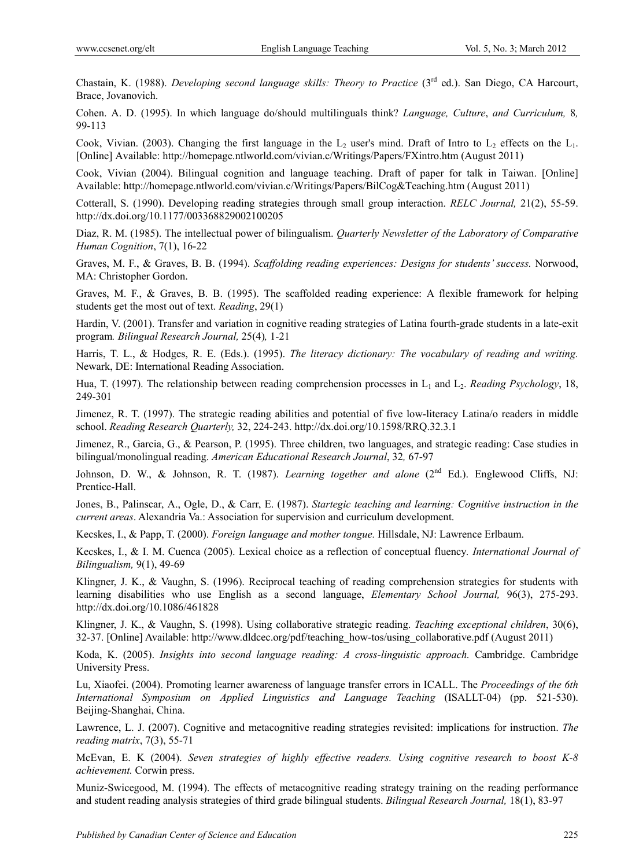Chastain, K. (1988). *Developing second language skills: Theory to Practice* (3rd ed.). San Diego, CA Harcourt, Brace, Jovanovich.

Cohen. A. D. (1995). In which language do/should multilinguals think? *Language, Culture*, *and Curriculum,* 8*,* 99-113

Cook, Vivian. (2003). Changing the first language in the  $L_2$  user's mind. Draft of Intro to  $L_2$  effects on the  $L_1$ . [Online] Available: http://homepage.ntlworld.com/vivian.c/Writings/Papers/FXintro.htm (August 2011)

Cook, Vivian (2004). Bilingual cognition and language teaching. Draft of paper for talk in Taiwan. [Online] Available: http://homepage.ntlworld.com/vivian.c/Writings/Papers/BilCog&Teaching.htm (August 2011)

Cotterall, S. (1990). Developing reading strategies through small group interaction. *RELC Journal,* 21(2), 55-59. http://dx.doi.org/10.1177/003368829002100205

Diaz, R. M. (1985). The intellectual power of bilingualism. *Quarterly Newsletter of the Laboratory of Comparative Human Cognition*, 7(1), 16-22

Graves, M. F., & Graves, B. B. (1994). *Scaffolding reading experiences: Designs for students' success.* Norwood, MA: Christopher Gordon.

Graves, M. F., & Graves, B. B. (1995). The scaffolded reading experience: A flexible framework for helping students get the most out of text. *Reading*, 29(1)

Hardin, V. (2001). Transfer and variation in cognitive reading strategies of Latina fourth-grade students in a late-exit program*. Bilingual Research Journal,* 25(4)*,* 1-21

Harris, T. L., & Hodges, R. E. (Eds.). (1995). *The literacy dictionary: The vocabulary of reading and writing.* Newark, DE: International Reading Association.

Hua, T. (1997). The relationship between reading comprehension processes in L1 and L2. *Reading Psychology*, 18, 249-301

Jimenez, R. T. (1997). The strategic reading abilities and potential of five low-literacy Latina/o readers in middle school. *Reading Research Quarterly,* 32, 224-243. http://dx.doi.org/10.1598/RRQ.32.3.1

Jimenez, R., Garcia, G., & Pearson, P. (1995). Three children, two languages, and strategic reading: Case studies in bilingual/monolingual reading. *American Educational Research Journal*, 32*,* 67-97

Johnson, D. W., & Johnson, R. T. (1987). *Learning together and alone* (2<sup>nd</sup> Ed.). Englewood Cliffs, NJ: Prentice-Hall.

Jones, B., Palinscar, A., Ogle, D., & Carr, E. (1987). *Startegic teaching and learning: Cognitive instruction in the current areas*. Alexandria Va.: Association for supervision and curriculum development.

Kecskes, I., & Papp, T. (2000). *Foreign language and mother tongue.* Hillsdale, NJ: Lawrence Erlbaum.

Kecskes, I., & I. M. Cuenca (2005). Lexical choice as a reflection of conceptual fluency*. International Journal of Bilingualism,* 9(1), 49-69

Klingner, J. K., & Vaughn, S. (1996). Reciprocal teaching of reading comprehension strategies for students with learning disabilities who use English as a second language, *Elementary School Journal,* 96(3), 275-293. http://dx.doi.org/10.1086/461828

Klingner, J. K., & Vaughn, S. (1998). Using collaborative strategic reading. *Teaching exceptional children*, 30(6), 32-37. [Online] Available: http://www.dldcec.org/pdf/teaching\_how-tos/using\_collaborative.pdf (August 2011)

Koda, K. (2005). *Insights into second language reading: A cross-linguistic approach.* Cambridge. Cambridge University Press.

Lu, Xiaofei. (2004). Promoting learner awareness of language transfer errors in ICALL. The *Proceedings of the 6th International Symposium on Applied Linguistics and Language Teaching* (ISALLT-04) (pp. 521-530). Beijing-Shanghai, China.

Lawrence, L. J. (2007). Cognitive and metacognitive reading strategies revisited: implications for instruction. *The reading matrix*, 7(3), 55-71

McEvan, E. K (2004). *Seven strategies of highly effective readers. Using cognitive research to boost K-8 achievement.* Corwin press.

Muniz-Swicegood, M. (1994). The effects of metacognitive reading strategy training on the reading performance and student reading analysis strategies of third grade bilingual students. *Bilingual Research Journal,* 18(1), 83-97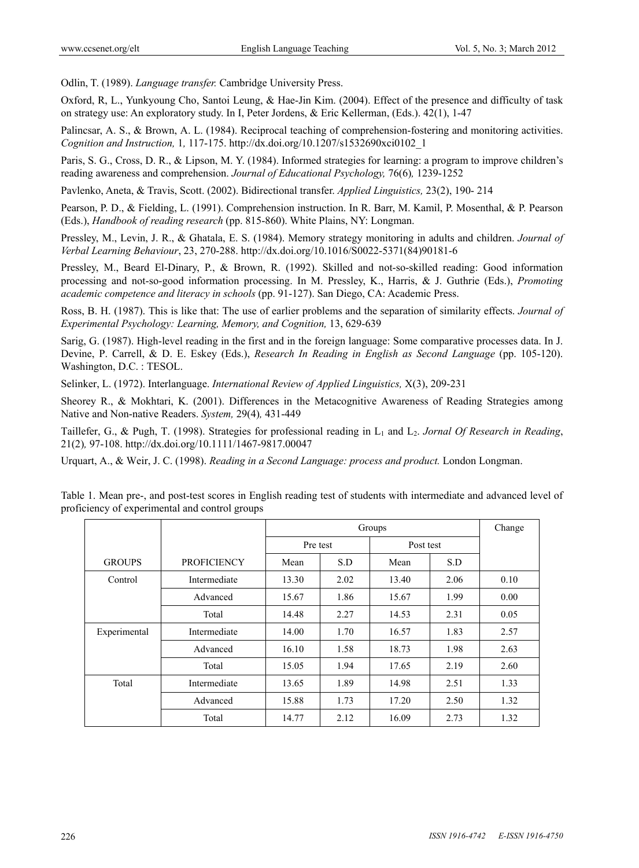Odlin, T. (1989). *Language transfer.* Cambridge University Press.

Oxford, R, L., Yunkyoung Cho, Santoi Leung, & Hae-Jin Kim. (2004). Effect of the presence and difficulty of task on strategy use: An exploratory study. In I, Peter Jordens, & Eric Kellerman, (Eds.). 42(1), 1-47

Palincsar, A. S., & Brown, A. L. (1984). Reciprocal teaching of comprehension-fostering and monitoring activities. *Cognition and Instruction,* 1*,* 117-175. http://dx.doi.org/10.1207/s1532690xci0102\_1

Paris, S. G., Cross, D. R., & Lipson, M. Y. (1984). Informed strategies for learning: a program to improve children's reading awareness and comprehension. *Journal of Educational Psychology,* 76(6)*,* 1239-1252

Pavlenko, Aneta, & Travis, Scott. (2002). Bidirectional transfer. *Applied Linguistics,* 23(2), 190- 214

Pearson, P. D., & Fielding, L. (1991). Comprehension instruction. In R. Barr, M. Kamil, P. Mosenthal, & P. Pearson (Eds.), *Handbook of reading research* (pp. 815-860). White Plains, NY: Longman.

Pressley, M., Levin, J. R., & Ghatala, E. S. (1984). Memory strategy monitoring in adults and children. *Journal of Verbal Learning Behaviour*, 23, 270-288. http://dx.doi.org/10.1016/S0022-5371(84)90181-6

Pressley, M., Beard El-Dinary, P., & Brown, R. (1992). Skilled and not-so-skilled reading: Good information processing and not-so-good information processing. In M. Pressley, K., Harris, & J. Guthrie (Eds.), *Promoting academic competence and literacy in schools* (pp. 91-127). San Diego, CA: Academic Press.

Ross, B. H. (1987). This is like that: The use of earlier problems and the separation of similarity effects. *Journal of Experimental Psychology: Learning, Memory, and Cognition,* 13, 629-639

Sarig, G. (1987). High-level reading in the first and in the foreign language: Some comparative processes data. In J. Devine, P. Carrell, & D. E. Eskey (Eds.), *Research In Reading in English as Second Language* (pp. 105-120). Washington, D.C. : TESOL.

Selinker, L. (1972). Interlanguage. *International Review of Applied Linguistics,* X(3), 209-231

Sheorey R., & Mokhtari, K. (2001). Differences in the Metacognitive Awareness of Reading Strategies among Native and Non-native Readers. *System,* 29(4)*,* 431-449

Taillefer, G., & Pugh, T. (1998). Strategies for professional reading in L<sub>1</sub> and L<sub>2</sub>. *Jornal Of Research in Reading*, 21(2)*,* 97-108. http://dx.doi.org/10.1111/1467-9817.00047

Urquart, A., & Weir, J. C. (1998). *Reading in a Second Language: process and product.* London Longman.

Table 1. Mean pre-, and post-test scores in English reading test of students with intermediate and advanced level of proficiency of experimental and control groups

|               |                    |          | Groups |           |      |      |  |  |  |
|---------------|--------------------|----------|--------|-----------|------|------|--|--|--|
|               |                    | Pre test |        | Post test |      |      |  |  |  |
| <b>GROUPS</b> | <b>PROFICIENCY</b> | Mean     | S.D    | Mean      | S.D  |      |  |  |  |
| Control       | Intermediate       | 13.30    | 2.02   | 13.40     | 2.06 | 0.10 |  |  |  |
|               | Advanced           | 15.67    | 1.86   | 15.67     | 1.99 | 0.00 |  |  |  |
|               | Total              | 14.48    | 2.27   | 14.53     | 2.31 | 0.05 |  |  |  |
| Experimental  | Intermediate       | 14.00    | 1.70   | 16.57     | 1.83 | 2.57 |  |  |  |
|               | Advanced           | 16.10    | 1.58   | 18.73     | 1.98 | 2.63 |  |  |  |
|               | Total              | 15.05    | 1.94   | 17.65     | 2.19 | 2.60 |  |  |  |
| Total         | Intermediate       | 13.65    | 1.89   | 14.98     | 2.51 | 1.33 |  |  |  |
|               | Advanced           | 15.88    | 1.73   | 17.20     | 2.50 | 1.32 |  |  |  |
|               | Total              | 14.77    | 2.12   | 16.09     | 2.73 | 1.32 |  |  |  |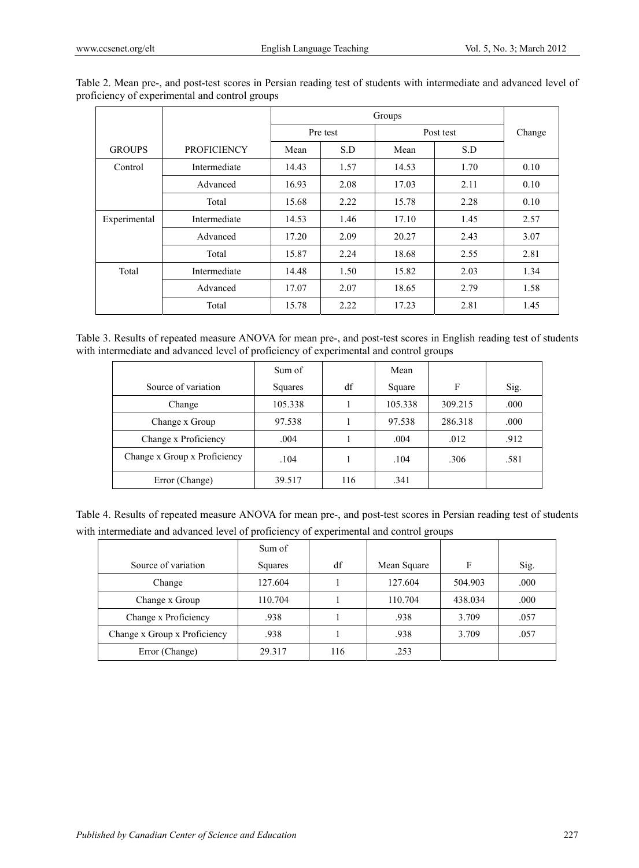|               |                    |       | Groups   |           |        |      |  |  |  |  |
|---------------|--------------------|-------|----------|-----------|--------|------|--|--|--|--|
|               |                    |       | Pre test | Post test | Change |      |  |  |  |  |
| <b>GROUPS</b> | <b>PROFICIENCY</b> | Mean  | S.D      | Mean      | S.D    |      |  |  |  |  |
| Control       | Intermediate       | 14.43 | 1.57     | 14.53     | 1.70   | 0.10 |  |  |  |  |
|               | Advanced           | 16.93 | 2.08     | 17.03     | 2.11   | 0.10 |  |  |  |  |
|               | Total              | 15.68 | 2.22     | 15.78     | 2.28   | 0.10 |  |  |  |  |
| Experimental  | Intermediate       | 14.53 | 1.46     | 17.10     | 1.45   | 2.57 |  |  |  |  |
|               | Advanced           | 17.20 | 2.09     | 20.27     | 2.43   | 3.07 |  |  |  |  |
|               | Total              | 15.87 | 2.24     | 18.68     | 2.55   | 2.81 |  |  |  |  |
| Total         | Intermediate       | 14.48 | 1.50     | 15.82     | 2.03   | 1.34 |  |  |  |  |
|               | Advanced           | 17.07 | 2.07     | 18.65     | 2.79   | 1.58 |  |  |  |  |
|               | Total              | 15.78 | 2.22     | 17.23     | 2.81   | 1.45 |  |  |  |  |

Table 2. Mean pre-, and post-test scores in Persian reading test of students with intermediate and advanced level of proficiency of experimental and control groups

Table 3. Results of repeated measure ANOVA for mean pre-, and post-test scores in English reading test of students with intermediate and advanced level of proficiency of experimental and control groups

|                              | Sum of  |     | Mean    |         |      |
|------------------------------|---------|-----|---------|---------|------|
| Source of variation          | Squares | df  | Square  | F       | Sig. |
| Change                       | 105.338 |     | 105.338 | 309.215 | .000 |
| Change x Group               | 97.538  |     | 97.538  | 286.318 | .000 |
| Change x Proficiency         | .004    |     | .004    | .012    | .912 |
| Change x Group x Proficiency | .104    |     | .104    | .306    | .581 |
| Error (Change)               | 39.517  | 116 | .341    |         |      |

Table 4. Results of repeated measure ANOVA for mean pre-, and post-test scores in Persian reading test of students with intermediate and advanced level of proficiency of experimental and control groups

|                              | Sum of  |     |             |         |      |
|------------------------------|---------|-----|-------------|---------|------|
| Source of variation          | Squares | df  | Mean Square | F       | Sig. |
| Change                       | 127.604 |     | 127.604     | 504.903 | .000 |
| Change x Group               | 110.704 |     | 110.704     | 438.034 | .000 |
| Change x Proficiency         | .938    |     | .938        | 3.709   | .057 |
| Change x Group x Proficiency | .938    |     | .938        | 3.709   | .057 |
| Error (Change)               | 29.317  | 116 | .253        |         |      |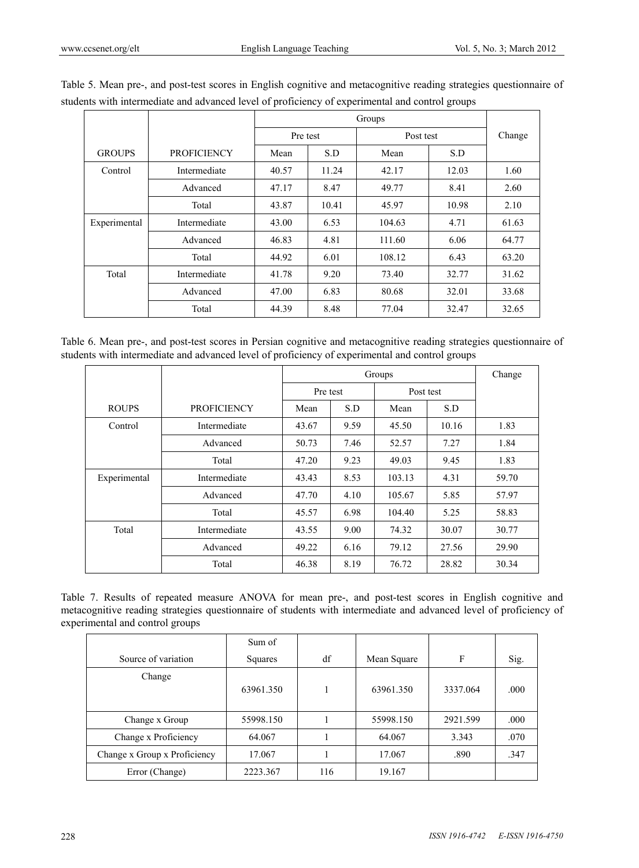|               |                    | Pre test |       | Post test | Change |       |
|---------------|--------------------|----------|-------|-----------|--------|-------|
| <b>GROUPS</b> | <b>PROFICIENCY</b> | Mean     | S.D   | Mean      | S.D    |       |
| Control       | Intermediate       | 40.57    | 11.24 | 42.17     | 12.03  | 1.60  |
|               | Advanced           | 47.17    | 8.47  | 49.77     | 8.41   | 2.60  |
|               | Total              |          | 10.41 | 45.97     | 10.98  | 2.10  |
| Experimental  | Intermediate       | 43.00    | 6.53  | 104.63    | 4.71   | 61.63 |
|               | Advanced           | 46.83    | 4.81  | 111.60    | 6.06   | 64.77 |
|               | Total              | 44.92    | 6.01  | 108.12    | 6.43   | 63.20 |
| Total         | Intermediate       | 41.78    | 9.20  | 73.40     | 32.77  | 31.62 |
|               | Advanced           | 47.00    | 6.83  | 80.68     | 32.01  | 33.68 |
|               | Total              | 44.39    | 8.48  | 77.04     | 32.47  | 32.65 |

Table 5. Mean pre-, and post-test scores in English cognitive and metacognitive reading strategies questionnaire of students with intermediate and advanced level of proficiency of experimental and control groups

Table 6. Mean pre-, and post-test scores in Persian cognitive and metacognitive reading strategies questionnaire of students with intermediate and advanced level of proficiency of experimental and control groups

|              |                    |          | Groups |           |       |       |  |  |  |
|--------------|--------------------|----------|--------|-----------|-------|-------|--|--|--|
|              |                    | Pre test |        | Post test |       |       |  |  |  |
| <b>ROUPS</b> | <b>PROFICIENCY</b> | Mean     | S.D    | Mean      | S.D   |       |  |  |  |
| Control      | Intermediate       | 43.67    | 9.59   | 45.50     | 10.16 | 1.83  |  |  |  |
|              | Advanced           | 50.73    | 7.46   | 52.57     | 7.27  | 1.84  |  |  |  |
|              | Total              | 47.20    | 9.23   | 49.03     | 9.45  | 1.83  |  |  |  |
| Experimental | Intermediate       | 43.43    | 8.53   | 103.13    | 4.31  | 59.70 |  |  |  |
|              | Advanced           | 47.70    | 4.10   | 105.67    | 5.85  | 57.97 |  |  |  |
|              | Total              | 45.57    | 6.98   | 104.40    | 5.25  | 58.83 |  |  |  |
| Total        | Intermediate       | 43.55    | 9.00   | 74.32     | 30.07 | 30.77 |  |  |  |
|              | Advanced           | 49.22    | 6.16   | 79.12     | 27.56 | 29.90 |  |  |  |
|              | Total              | 46.38    | 8.19   | 76.72     | 28.82 | 30.34 |  |  |  |

|  |  |                                 |  |  |  |  |  | Table 7. Results of repeated measure ANOVA for mean pre-, and post-test scores in English cognitive and           |  |
|--|--|---------------------------------|--|--|--|--|--|-------------------------------------------------------------------------------------------------------------------|--|
|  |  |                                 |  |  |  |  |  | metacognitive reading strategies questionnaire of students with intermediate and advanced level of proficiency of |  |
|  |  | experimental and control groups |  |  |  |  |  |                                                                                                                   |  |

|                              | Sum of    |     |             |          |      |
|------------------------------|-----------|-----|-------------|----------|------|
| Source of variation          | Squares   | df  | Mean Square | F        | Sig. |
| Change                       | 63961.350 |     | 63961.350   | 3337.064 | .000 |
| Change x Group               | 55998.150 |     | 55998.150   | 2921.599 | .000 |
| Change x Proficiency         | 64.067    |     | 64.067      | 3.343    | .070 |
| Change x Group x Proficiency | 17.067    |     | 17.067      | .890     | .347 |
| Error (Change)               | 2223.367  | 116 | 19.167      |          |      |